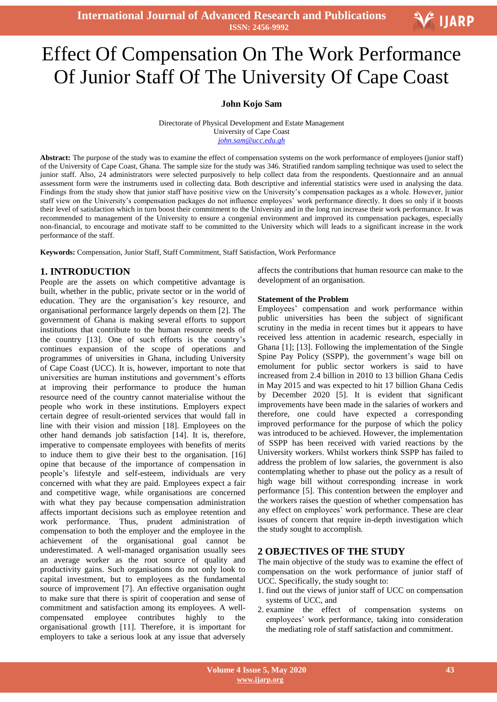**International Journal of Advanced Research and Publications ISSN: 2456-9992**

# Effect Of Compensation On The Work Performance Of Junior Staff Of The University Of Cape Coast

#### **John Kojo Sam**

Directorate of Physical Development and Estate Management University of Cape Coast *[john.sam@ucc.edu.gh](mailto:john.sam@ucc.edu.gh)*

**Abstract:** The purpose of the study was to examine the effect of compensation systems on the work performance of employees (junior staff) of the University of Cape Coast, Ghana. The sample size for the study was 346. Stratified random sampling technique was used to select the junior staff. Also, 24 administrators were selected purposively to help collect data from the respondents. Questionnaire and an annual assessment form were the instruments used in collecting data. Both descriptive and inferential statistics were used in analysing the data. Findings from the study show that junior staff have positive view on the University's compensation packages as a whole. However, junior staff view on the University's compensation packages do not influence employees' work performance directly. It does so only if it boosts their level of satisfaction which in turn boost their commitment to the University and in the long run increase their work performance. It was recommended to management of the University to ensure a congenial environment and improved its compensation packages, especially non-financial, to encourage and motivate staff to be committed to the University which will leads to a significant increase in the work performance of the staff.

**Keywords:** Compensation, Junior Staff, Staff Commitment, Staff Satisfaction, Work Performance

# **1. INTRODUCTION**

People are the assets on which competitive advantage is built, whether in the public, private sector or in the world of education. They are the organisation's key resource, and organisational performance largely depends on them [2]. The government of Ghana is making several efforts to support institutions that contribute to the human resource needs of the country [13]. One of such efforts is the country's continues expansion of the scope of operations and programmes of universities in Ghana, including University of Cape Coast (UCC). It is, however, important to note that universities are human institutions and government's efforts at improving their performance to produce the human resource need of the country cannot materialise without the people who work in these institutions. Employers expect certain degree of result-oriented services that would fall in line with their vision and mission [18]. Employees on the other hand demands job satisfaction [14]. It is, therefore, imperative to compensate employees with benefits of merits to induce them to give their best to the organisation. [16] opine that because of the importance of compensation in people's lifestyle and self-esteem, individuals are very concerned with what they are paid. Employees expect a fair and competitive wage, while organisations are concerned with what they pay because compensation administration affects important decisions such as employee retention and work performance. Thus, prudent administration of compensation to both the employer and the employee in the achievement of the organisational goal cannot be underestimated. A well-managed organisation usually sees an average worker as the root source of quality and productivity gains. Such organisations do not only look to capital investment, but to employees as the fundamental source of improvement [7]. An effective organisation ought to make sure that there is spirit of cooperation and sense of commitment and satisfaction among its employees. A wellcompensated employee contributes highly to the organisational growth [11]. Therefore, it is important for employers to take a serious look at any issue that adversely affects the contributions that human resource can make to the development of an organisation.

V IJARP

#### **Statement of the Problem**

Employees' compensation and work performance within public universities has been the subject of significant scrutiny in the media in recent times but it appears to have received less attention in academic research, especially in Ghana [1]; [13]. Following the implementation of the Single Spine Pay Policy (SSPP), the government's wage bill on emolument for public sector workers is said to have increased from 2.4 billion in 2010 to 13 billion Ghana Cedis in May 2015 and was expected to hit 17 billion Ghana Cedis by December 2020 [5]. It is evident that significant improvements have been made in the salaries of workers and therefore, one could have expected a corresponding improved performance for the purpose of which the policy was introduced to be achieved. However, the implementation of SSPP has been received with varied reactions by the University workers. Whilst workers think SSPP has failed to address the problem of low salaries, the government is also contemplating whether to phase out the policy as a result of high wage bill without corresponding increase in work performance [5]. This contention between the employer and the workers raises the question of whether compensation has any effect on employees' work performance. These are clear issues of concern that require in-depth investigation which the study sought to accomplish.

## **2 OBJECTIVES OF THE STUDY**

The main objective of the study was to examine the effect of compensation on the work performance of junior staff of UCC. Specifically, the study sought to:

- 1. find out the views of junior staff of UCC on compensation systems of UCC, and
- 2. examine the effect of compensation systems on employees' work performance, taking into consideration the mediating role of staff satisfaction and commitment.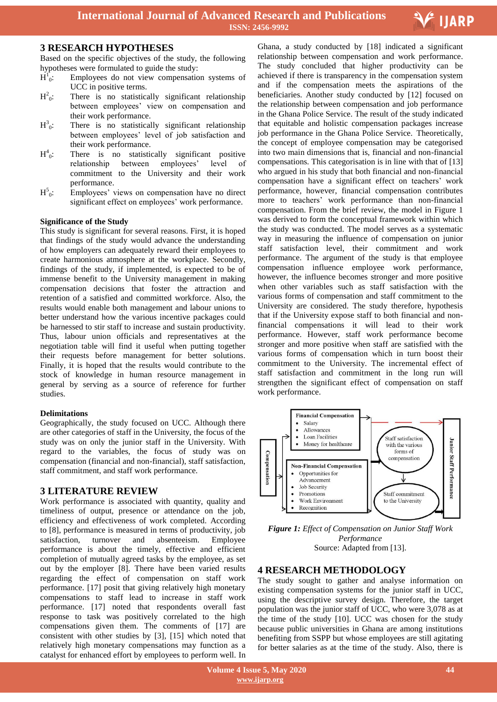

# **3 RESEARCH HYPOTHESES**

Based on the specific objectives of the study, the following hypotheses were formulated to guide the study:

- $\overline{H}^1$ Employees do not view compensation systems of UCC in positive terms.
- $H^2$ There is no statistically significant relationship between employees' view on compensation and their work performance.
- $H^3$ There is no statistically significant relationship between employees' level of job satisfaction and their work performance.
- $H^4$ There is no statistically significant positive<br>relationship between employees' level of relationship commitment to the University and their work performance.
- $H^5$ Employees' views on compensation have no direct significant effect on employees' work performance.

## **Significance of the Study**

This study is significant for several reasons. First, it is hoped that findings of the study would advance the understanding of how employers can adequately reward their employees to create harmonious atmosphere at the workplace. Secondly, findings of the study, if implemented, is expected to be of immense benefit to the University management in making compensation decisions that foster the attraction and retention of a satisfied and committed workforce. Also, the results would enable both management and labour unions to better understand how the various incentive packages could be harnessed to stir staff to increase and sustain productivity. Thus, labour union officials and representatives at the negotiation table will find it useful when putting together their requests before management for better solutions. Finally, it is hoped that the results would contribute to the stock of knowledge in human resource management in general by serving as a source of reference for further studies.

#### **Delimitations**

Geographically, the study focused on UCC. Although there are other categories of staff in the University, the focus of the study was on only the junior staff in the University. With regard to the variables, the focus of study was on compensation (financial and non-financial), staff satisfaction, staff commitment, and staff work performance.

# **3 LITERATURE REVIEW**

Work performance is associated with quantity, quality and timeliness of output, presence or attendance on the job, efficiency and effectiveness of work completed. According to [8], performance is measured in terms of productivity, job satisfaction, turnover and absenteeism. Employee performance is about the timely, effective and efficient completion of mutually agreed tasks by the employee, as set out by the employer [8]. There have been varied results regarding the effect of compensation on staff work performance. [17] posit that giving relatively high monetary compensations to staff lead to increase in staff work performance. [17] noted that respondents overall fast response to task was positively correlated to the high compensations given them. The comments of [17] are consistent with other studies by [3], [15] which noted that relatively high monetary compensations may function as a catalyst for enhanced effort by employees to perform well. In

 relationship between compensation and work performance. Ghana, a study conducted by [18] indicated a significant The study concluded that higher productivity can be achieved if there is transparency in the compensation system and if the compensation meets the aspirations of the beneficiaries. Another study conducted by [12] focused on the relationship between compensation and job performance in the Ghana Police Service. The result of the study indicated that equitable and holistic compensation packages increase job performance in the Ghana Police Service. Theoretically, the concept of employee compensation may be categorised into two main dimensions that is, financial and non-financial compensations. This categorisation is in line with that of [13] who argued in his study that both financial and non-financial compensation have a significant effect on teachers' work performance, however, financial compensation contributes more to teachers' work performance than non-financial compensation. From the brief review, the model in Figure 1 was derived to form the conceptual framework within which the study was conducted. The model serves as a systematic way in measuring the influence of compensation on junior staff satisfaction level, their commitment and work performance. The argument of the study is that employee compensation influence employee work performance, however, the influence becomes stronger and more positive when other variables such as staff satisfaction with the various forms of compensation and staff commitment to the University are considered. The study therefore, hypothesis that if the University expose staff to both financial and nonfinancial compensations it will lead to their work performance. However, staff work performance become stronger and more positive when staff are satisfied with the various forms of compensation which in turn boost their commitment to the University. The incremental effect of staff satisfaction and commitment in the long run will strengthen the significant effect of compensation on staff work performance.



*Figure 1: Effect of Compensation on Junior Staff Work Performance* Source: Adapted from [13].

# **4 RESEARCH METHODOLOGY**

The study sought to gather and analyse information on existing compensation systems for the junior staff in UCC, using the descriptive survey design. Therefore, the target population was the junior staff of UCC, who were 3,078 as at the time of the study [10]. UCC was chosen for the study because public universities in Ghana are among institutions benefiting from SSPP but whose employees are still agitating for better salaries as at the time of the study. Also, there is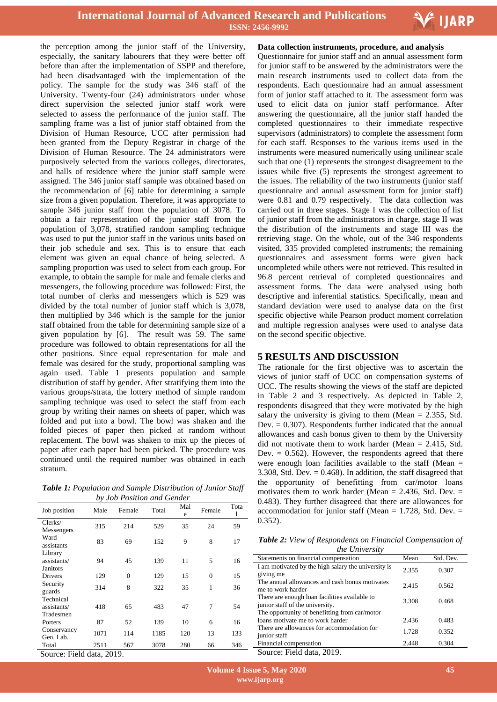

the perception among the junior staff of the University, especially, the sanitary labourers that they were better off before than after the implementation of SSPP and therefore, had been disadvantaged with the implementation of the policy. The sample for the study was 346 staff of the University. Twenty-four (24) administrators under whose direct supervision the selected junior staff work were selected to assess the performance of the junior staff. The sampling frame was a list of junior staff obtained from the Division of Human Resource, UCC after permission had been granted from the Deputy Registrar in charge of the Division of Human Resource. The 24 administrators were purposively selected from the various colleges, directorates, and halls of residence where the junior staff sample were assigned. The 346 junior staff sample was obtained based on the recommendation of [6] table for determining a sample size from a given population. Therefore, it was appropriate to sample 346 junior staff from the population of 3078. To obtain a fair representation of the junior staff from the population of 3,078, stratified random sampling technique was used to put the junior staff in the various units based on their job schedule and sex. This is to ensure that each element was given an equal chance of being selected. A sampling proportion was used to select from each group. For example, to obtain the sample for male and female clerks and messengers, the following procedure was followed: First, the total number of clerks and messengers which is 529 was divided by the total number of junior staff which is 3,078, then multiplied by 346 which is the sample for the junior staff obtained from the table for determining sample size of a given population by [6]. The result was 59. The same procedure was followed to obtain representations for all the other positions. Since equal representation for male and female was desired for the study, proportional sampling was again used. Table 1 presents population and sample distribution of staff by gender. After stratifying them into the various groups/strata, the lottery method of simple random sampling technique was used to select the staff from each group by writing their names on sheets of paper, which was folded and put into a bowl. The bowl was shaken and the folded pieces of paper then picked at random without replacement. The bowl was shaken to mix up the pieces of paper after each paper had been picked. The procedure was continued until the required number was obtained in each stratum.

*Table 1: Population and Sample Distribution of Junior Staff by Job Position and Gender*

| Job position                          | Male | Female   | Total | Mal<br>e | Female         | Tota<br>1 |
|---------------------------------------|------|----------|-------|----------|----------------|-----------|
| Clerks/<br>Messengers                 | 315  | 214      | 529   | 35       | 24             | 59        |
| Ward<br>assistants                    | 83   | 69       | 152   | 9        | 8              | 17        |
| Library<br>assistants/<br>Janitors    | 94   | 45       | 139   | 11       | 5              | 16        |
| Drivers                               | 129  | $\theta$ | 129   | 15       | $\overline{0}$ | 15        |
| Security<br>guards                    | 314  | 8        | 322   | 35       | 1              | 36        |
| Technical<br>assistants/<br>Tradesmen | 418  | 65       | 483   | 47       | $\overline{7}$ | 54        |
| Porters                               | 87   | 52       | 139   | 10       | 6              | 16        |
| Conservancy<br>Gen. Lab.              | 1071 | 114      | 1185  | 120      | 13             | 133       |
| Total<br>--- - -                      | 2511 | 567      | 3078  | 280      | 66             | 346       |

Source: Field data, 2019.

#### **Data collection instruments, procedure, and analysis**

 Questionnaire for junior staff and an annual assessment form for junior staff to be answered by the administrators were the main research instruments used to collect data from the respondents. Each questionnaire had an annual assessment form of junior staff attached to it. The assessment form was used to elicit data on junior staff performance. After answering the questionnaire, all the junior staff handed the completed questionnaires to their immediate respective supervisors (administrators) to complete the assessment form for each staff. Responses to the various items used in the instruments were measured numerically using unilinear scale such that one (1) represents the strongest disagreement to the issues while five (5) represents the strongest agreement to the issues. The reliability of the two instruments (junior staff questionnaire and annual assessment form for junior staff) were 0.81 and 0.79 respectively. The data collection was carried out in three stages. Stage I was the collection of list of junior staff from the administrators in charge, stage II was the distribution of the instruments and stage III was the retrieving stage. On the whole, out of the 346 respondents visited, 335 provided completed instruments; the remaining questionnaires and assessment forms were given back uncompleted while others were not retrieved. This resulted in 96.8 percent retrieval of completed questionnaires and assessment forms. The data were analysed using both descriptive and inferential statistics. Specifically, mean and standard deviation were used to analyse data on the first specific objective while Pearson product moment correlation and multiple regression analyses were used to analyse data on the second specific objective.

## **5 RESULTS AND DISCUSSION**

The rationale for the first objective was to ascertain the views of junior staff of UCC on compensation systems of UCC. The results showing the views of the staff are depicted in Table 2 and 3 respectively. As depicted in Table 2, respondents disagreed that they were motivated by the high salary the university is giving to them (Mean  $= 2.355$ , Std. Dev.  $= 0.307$ ). Respondents further indicated that the annual allowances and cash bonus given to them by the University did not motivate them to work harder (Mean = 2.415, Std. Dev.  $= 0.562$ ). However, the respondents agreed that there were enough loan facilities available to the staff (Mean = 3.308, Std. Dev.  $= 0.468$ ). In addition, the staff disagreed that the opportunity of benefitting from car/motor loans motivates them to work harder (Mean  $= 2.436$ , Std. Dev.  $=$ 0.483). They further disagreed that there are allowances for accommodation for junior staff (Mean =  $1.728$ , Std. Dev. = 0.352).

*Table 2: View of Respondents on Financial Compensation of the University*

| <i>HIC UNIVERSILY</i>                                                            |       |           |
|----------------------------------------------------------------------------------|-------|-----------|
| Statements on financial compensation                                             | Mean  | Std. Dev. |
| I am motivated by the high salary the university is<br>giving me                 | 2.355 | 0.307     |
| The annual allowances and cash bonus motivates<br>me to work harder              | 2.415 | 0.562     |
| There are enough loan facilities available to<br>junior staff of the university. | 3.308 | 0.468     |
| The opportunity of benefitting from car/motor                                    |       |           |
| loans motivate me to work harder                                                 | 2.436 | 0.483     |
| There are allowances for accommodation for<br>junior staff                       | 1.728 | 0.352     |
| Financial compensation                                                           | 2.448 | 0.304     |
| Source: Field data, 2019.                                                        |       |           |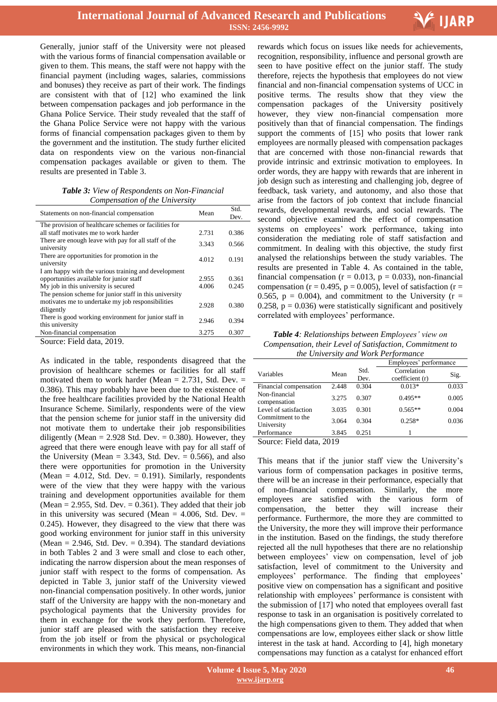

Generally, junior staff of the University were not pleased with the various forms of financial compensation available or given to them. This means, the staff were not happy with the financial payment (including wages, salaries, commissions and bonuses) they receive as part of their work. The findings are consistent with that of [12] who examined the link between compensation packages and job performance in the Ghana Police Service. Their study revealed that the staff of the Ghana Police Service were not happy with the various forms of financial compensation packages given to them by the government and the institution. The study further elicited data on respondents view on the various non-financial compensation packages available or given to them. The results are presented in Table 3.

*Table 3: View of Respondents on Non-Financial Compensation of the University*

| Statements on non-financial compensation                                 | Mean  | Std.  |
|--------------------------------------------------------------------------|-------|-------|
|                                                                          |       | Dev.  |
| The provision of healthcare schemes or facilities for                    |       |       |
| all staff motivates me to work harder                                    | 2.731 | 0.386 |
| There are enough leave with pay for all staff of the<br>university       | 3.343 | 0.566 |
| There are opportunities for promotion in the<br>university               | 4.012 | 0.191 |
| I am happy with the various training and development                     |       |       |
| opportunities available for junior staff                                 | 2.955 | 0.361 |
| My job in this university is secured                                     | 4.006 | 0.245 |
| The pension scheme for junior staff in this university                   |       |       |
| motivates me to undertake my job responsibilities<br>diligently          | 2.928 | 0.380 |
| There is good working environment for junior staff in<br>this university | 2.946 | 0.394 |
| Non-financial compensation                                               | 3.275 | 0.307 |
| Source: Field data, 2019.                                                |       |       |

As indicated in the table, respondents disagreed that the provision of healthcare schemes or facilities for all staff motivated them to work harder (Mean  $= 2.731$ , Std. Dev.  $=$ 0.386). This may probably have been due to the existence of the free healthcare facilities provided by the National Health Insurance Scheme. Similarly, respondents were of the view that the pension scheme for junior staff in the university did not motivate them to undertake their job responsibilities diligently (Mean =  $2.928$  Std. Dev. = 0.380). However, they agreed that there were enough leave with pay for all staff of the University (Mean =  $3.343$ , Std. Dev. = 0.566), and also there were opportunities for promotion in the University (Mean  $= 4.012$ , Std. Dev.  $= 0.191$ ). Similarly, respondents were of the view that they were happy with the various training and development opportunities available for them (Mean  $= 2.955$ , Std. Dev.  $= 0.361$ ). They added that their job in this university was secured (Mean  $= 4.006$ , Std. Dev.  $=$ 0.245). However, they disagreed to the view that there was good working environment for junior staff in this university (Mean  $= 2.946$ , Std. Dev.  $= 0.394$ ). The standard deviations in both Tables 2 and 3 were small and close to each other, indicating the narrow dispersion about the mean responses of junior staff with respect to the forms of compensation. As depicted in Table 3, junior staff of the University viewed non-financial compensation positively. In other words, junior staff of the University are happy with the non-monetary and psychological payments that the University provides for them in exchange for the work they perform. Therefore, junior staff are pleased with the satisfaction they receive from the job itself or from the physical or psychological environments in which they work. This means, non-financial

 recognition, responsibility, influence and personal growth are rewards which focus on issues like needs for achievements, seen to have positive effect on the junior staff. The study therefore, rejects the hypothesis that employees do not view financial and non-financial compensation systems of UCC in positive terms. The results show that they view the compensation packages of the University positively however, they view non-financial compensation more positively than that of financial compensation. The findings support the comments of [15] who posits that lower rank employees are normally pleased with compensation packages that are concerned with those non-financial rewards that provide intrinsic and extrinsic motivation to employees. In order words, they are happy with rewards that are inherent in job design such as interesting and challenging job, degree of feedback, task variety, and autonomy, and also those that arise from the factors of job context that include financial rewards, developmental rewards, and social rewards. The second objective examined the effect of compensation systems on employees' work performance, taking into consideration the mediating role of staff satisfaction and commitment. In dealing with this objective, the study first analysed the relationships between the study variables. The results are presented in Table 4. As contained in the table, financial compensation ( $r = 0.013$ ,  $p = 0.033$ ), non-financial compensation ( $r = 0.495$ ,  $p = 0.005$ ), level of satisfaction ( $r =$ 0.565,  $p = 0.004$ ), and commitment to the University ( $r =$ 0.258,  $p = 0.036$ ) were statistically significant and positively correlated with employees' performance.

*Table 4: Relationships between Employees' view on Compensation, their Level of Satisfaction, Commitment to the University and Work Performance*

|                        |       |       | Employees' performance |       |  |
|------------------------|-------|-------|------------------------|-------|--|
| Variables              | Mean  | Std.  | Correlation            | Sig.  |  |
|                        |       | Dev.  | coefficient (r)        |       |  |
| Financial compensation | 2.448 | 0.304 | $0.013*$               | 0.033 |  |
| Non-financial          | 3.275 | 0.307 | $0.495**$              | 0.005 |  |
| compensation           |       |       |                        |       |  |
| Level of satisfaction  | 3.035 | 0.301 | $0.565**$              | 0.004 |  |
| Commitment to the      | 3.064 | 0.304 | $0.258*$               | 0.036 |  |
| University             |       |       |                        |       |  |
| Performance            | 3.845 | 0.251 |                        |       |  |

Source: Field data, 2019

This means that if the junior staff view the University's various form of compensation packages in positive terms, there will be an increase in their performance, especially that of non-financial compensation. Similarly, the more employees are satisfied with the various form of compensation, the better they will increase their performance. Furthermore, the more they are committed to the University, the more they will improve their performance in the institution. Based on the findings, the study therefore rejected all the null hypotheses that there are no relationship between employees' view on compensation, level of job satisfaction, level of commitment to the University and employees' performance. The finding that employees' positive view on compensation has a significant and positive relationship with employees' performance is consistent with the submission of [17] who noted that employees overall fast response to task in an organisation is positively correlated to the high compensations given to them. They added that when compensations are low, employees either slack or show little interest in the task at hand. According to [4], high monetary compensations may function as a catalyst for enhanced effort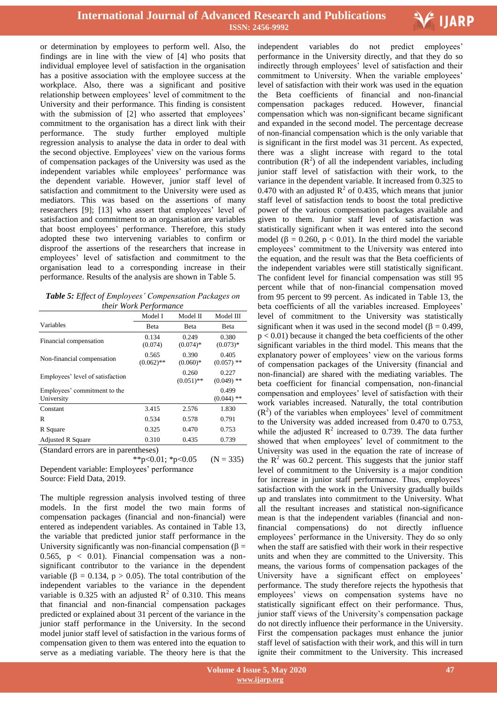

or determination by employees to perform well. Also, the findings are in line with the view of [4] who posits that individual employee level of satisfaction in the organisation has a positive association with the employee success at the workplace. Also, there was a significant and positive relationship between employees' level of commitment to the University and their performance. This finding is consistent with the submission of [2] who asserted that employees' commitment to the organisation has a direct link with their performance. The study further employed multiple regression analysis to analyse the data in order to deal with the second objective. Employees' view on the various forms of compensation packages of the University was used as the independent variables while employees' performance was the dependent variable. However, junior staff level of satisfaction and commitment to the University were used as mediators. This was based on the assertions of many researchers [9]; [13] who assert that employees' level of satisfaction and commitment to an organisation are variables that boost employees' performance. Therefore, this study adopted these two intervening variables to confirm or disproof the assertions of the researchers that increase in employees' level of satisfaction and commitment to the organisation lead to a corresponding increase in their performance. Results of the analysis are shown in Table 5.

| Table 5: Effect of Employees' Compensation Packages on |  |  |  |  |  |
|--------------------------------------------------------|--|--|--|--|--|
| <i>their Work Performance</i>                          |  |  |  |  |  |

|                                            | Model I               | Model II              | Model III             |
|--------------------------------------------|-----------------------|-----------------------|-----------------------|
| Variables                                  | Beta                  | Beta                  | Beta                  |
| Financial compensation                     | 0.134<br>(0.074)      | 0.249<br>$(0.074)$ *  | 0.380<br>$(0.073)*$   |
| Non-financial compensation                 | 0.565<br>$(0.062)$ ** | 0.390<br>$(0.060)*$   | 0.405<br>$(0.057)$ ** |
| Employees' level of satisfaction           |                       | 0.260<br>$(0.051)$ ** | 0.227<br>$(0.049)$ ** |
| Employees' commitment to the<br>University |                       |                       | 0.499<br>$(0.044)$ ** |
| Constant                                   | 3.415                 | 2.576                 | 1.830                 |
| R                                          | 0.534                 | 0.578                 | 0.791                 |
| R Square                                   | 0.325                 | 0.470                 | 0.753                 |
| <b>Adjusted R Square</b>                   | 0.310                 | 0.435                 | 0.739                 |
| $\sim$ $\sim$ $\sim$ $\sim$                |                       |                       |                       |

(Standard errors are in parentheses)

\*\*p<0.01; \*p<0.05  $(N = 335)$ Dependent variable: Employees' performance

Source: Field Data, 2019.

The multiple regression analysis involved testing of three models. In the first model the two main forms of compensation packages (financial and non-financial) were entered as independent variables. As contained in Table 13, the variable that predicted junior staff performance in the University significantly was non-financial compensation ( $\beta$  = 0.565,  $p < 0.01$ ). Financial compensation was a nonsignificant contributor to the variance in the dependent variable ( $\beta = 0.134$ ,  $p > 0.05$ ). The total contribution of the independent variables to the variance in the dependent variable is 0.325 with an adjusted  $\mathbb{R}^2$  of 0.310. This means that financial and non-financial compensation packages predicted or explained about 31 percent of the variance in the junior staff performance in the University. In the second model junior staff level of satisfaction in the various forms of compensation given to them was entered into the equation to serve as a mediating variable. The theory here is that the

 performance in the University directly, and that they do so independent variables do not predict employees' indirectly through employees' level of satisfaction and their commitment to University. When the variable employees' level of satisfaction with their work was used in the equation the Beta coefficients of financial and non-financial compensation packages reduced. However, financial compensation which was non-significant became significant and expanded in the second model. The percentage decrease of non-financial compensation which is the only variable that is significant in the first model was 31 percent. As expected, there was a slight increase with regard to the total contribution  $(R^2)$  of all the independent variables, including junior staff level of satisfaction with their work, to the variance in the dependent variable. It increased from 0.325 to 0.470 with an adjusted  $\mathbb{R}^2$  of 0.435, which means that junior staff level of satisfaction tends to boost the total predictive power of the various compensation packages available and given to them. Junior staff level of satisfaction was statistically significant when it was entered into the second model ( $\beta = 0.260$ ,  $p < 0.01$ ). In the third model the variable employees' commitment to the University was entered into the equation, and the result was that the Beta coefficients of the independent variables were still statistically significant. The confident level for financial compensation was still 95 percent while that of non-financial compensation moved from 95 percent to 99 percent. As indicated in Table 13, the beta coefficients of all the variables increased. Employees' level of commitment to the University was statistically significant when it was used in the second model ( $\beta = 0.499$ ,  $p < 0.01$ ) because it changed the beta coefficients of the other significant variables in the third model. This means that the explanatory power of employees' view on the various forms of compensation packages of the University (financial and non-financial) are shared with the mediating variables. The beta coefficient for financial compensation, non-financial compensation and employees' level of satisfaction with their work variables increased. Naturally, the total contribution  $(R<sup>2</sup>)$  of the variables when employees' level of commitment to the University was added increased from 0.470 to 0.753, while the adjusted  $R^2$  increased to 0.739. The data further showed that when employees' level of commitment to the University was used in the equation the rate of increase of the  $\mathbb{R}^2$  was 60.2 percent. This suggests that the junior staff level of commitment to the University is a major condition for increase in junior staff performance. Thus, employees' satisfaction with the work in the University gradually builds up and translates into commitment to the University. What all the resultant increases and statistical non-significance mean is that the independent variables (financial and nonfinancial compensations) do not directly influence employees' performance in the University. They do so only when the staff are satisfied with their work in their respective units and when they are committed to the University. This means, the various forms of compensation packages of the University have a significant effect on employees' performance. The study therefore rejects the hypothesis that employees' views on compensation systems have no statistically significant effect on their performance. Thus, junior staff views of the University's compensation package do not directly influence their performance in the University. First the compensation packages must enhance the junior staff level of satisfaction with their work, and this will in turn ignite their commitment to the University. This increased